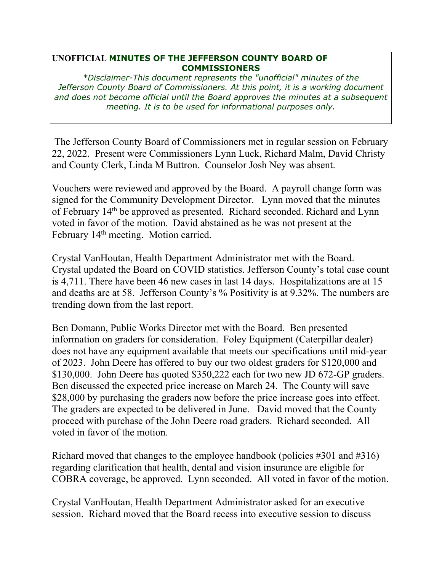## **UNOFFICIAL MINUTES OF THE JEFFERSON COUNTY BOARD OF COMMISSIONERS**

*\*Disclaimer-This document represents the "unofficial" minutes of the Jefferson County Board of Commissioners. At this point, it is a working document and does not become official until the Board approves the minutes at a subsequent meeting. It is to be used for informational purposes only.* 

 The Jefferson County Board of Commissioners met in regular session on February 22, 2022. Present were Commissioners Lynn Luck, Richard Malm, David Christy and County Clerk, Linda M Buttron. Counselor Josh Ney was absent.

Vouchers were reviewed and approved by the Board. A payroll change form was signed for the Community Development Director. Lynn moved that the minutes of February 14th be approved as presented. Richard seconded. Richard and Lynn voted in favor of the motion. David abstained as he was not present at the February 14<sup>th</sup> meeting. Motion carried.

Crystal VanHoutan, Health Department Administrator met with the Board. Crystal updated the Board on COVID statistics. Jefferson County's total case count is 4,711. There have been 46 new cases in last 14 days. Hospitalizations are at 15 and deaths are at 58. Jefferson County's % Positivity is at 9.32%. The numbers are trending down from the last report.

Ben Domann, Public Works Director met with the Board. Ben presented information on graders for consideration. Foley Equipment (Caterpillar dealer) does not have any equipment available that meets our specifications until mid-year of 2023. John Deere has offered to buy our two oldest graders for \$120,000 and \$130,000. John Deere has quoted \$350,222 each for two new JD 672-GP graders. Ben discussed the expected price increase on March 24. The County will save \$28,000 by purchasing the graders now before the price increase goes into effect. The graders are expected to be delivered in June. David moved that the County proceed with purchase of the John Deere road graders. Richard seconded. All voted in favor of the motion.

Richard moved that changes to the employee handbook (policies #301 and #316) regarding clarification that health, dental and vision insurance are eligible for COBRA coverage, be approved. Lynn seconded. All voted in favor of the motion.

Crystal VanHoutan, Health Department Administrator asked for an executive session. Richard moved that the Board recess into executive session to discuss